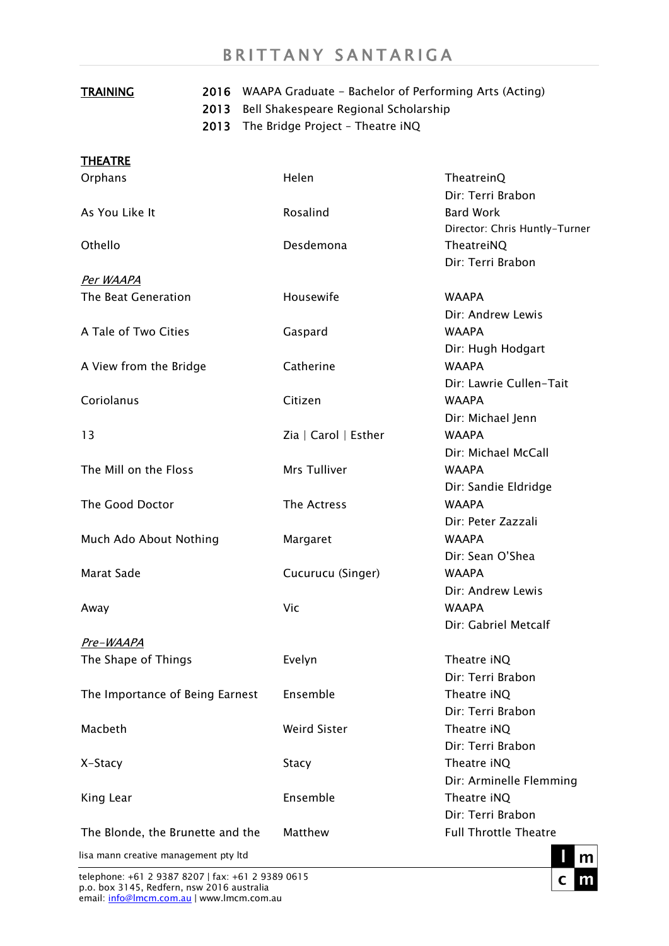## BRITTANY SANTARIGA

| <b>TRAINING</b>                       | 2013<br>2013 | 2016 WAAPA Graduate - Bachelor of Performing Arts (Acting)<br>Bell Shakespeare Regional Scholarship<br>The Bridge Project - Theatre iNQ |                                      |
|---------------------------------------|--------------|-----------------------------------------------------------------------------------------------------------------------------------------|--------------------------------------|
|                                       |              |                                                                                                                                         |                                      |
| <b>THEATRE</b>                        |              |                                                                                                                                         |                                      |
| Orphans                               |              | Helen                                                                                                                                   | TheatreinQ                           |
|                                       |              |                                                                                                                                         | Dir: Terri Brabon                    |
| As You Like It                        |              | Rosalind                                                                                                                                | <b>Bard Work</b>                     |
|                                       |              |                                                                                                                                         | Director: Chris Huntly-Turner        |
| Othello                               |              | Desdemona                                                                                                                               | TheatreiNQ                           |
|                                       |              |                                                                                                                                         | Dir: Terri Brabon                    |
| <u>Per WAAPA</u>                      |              |                                                                                                                                         |                                      |
| The Beat Generation                   |              | Housewife                                                                                                                               | <b>WAAPA</b>                         |
|                                       |              |                                                                                                                                         | Dir: Andrew Lewis                    |
| A Tale of Two Cities                  |              | Gaspard                                                                                                                                 | <b>WAAPA</b>                         |
|                                       |              |                                                                                                                                         | Dir: Hugh Hodgart                    |
| A View from the Bridge                |              | Catherine                                                                                                                               | <b>WAAPA</b>                         |
|                                       |              |                                                                                                                                         | Dir: Lawrie Cullen-Tait              |
| Coriolanus                            |              | Citizen                                                                                                                                 | <b>WAAPA</b>                         |
|                                       |              |                                                                                                                                         | Dir: Michael Jenn                    |
| 13                                    |              | Zia   Carol   Esther                                                                                                                    | <b>WAAPA</b>                         |
| The Mill on the Floss                 |              | Mrs Tulliver                                                                                                                            | Dir: Michael McCall                  |
|                                       |              |                                                                                                                                         | <b>WAAPA</b>                         |
| The Good Doctor                       |              | The Actress                                                                                                                             | Dir: Sandie Eldridge<br><b>WAAPA</b> |
|                                       |              |                                                                                                                                         | Dir: Peter Zazzali                   |
| Much Ado About Nothing                |              | Margaret                                                                                                                                | <b>WAAPA</b>                         |
|                                       |              |                                                                                                                                         | Dir: Sean O'Shea                     |
| Marat Sade                            |              | Cucurucu (Singer)                                                                                                                       | <b>WAAPA</b>                         |
|                                       |              |                                                                                                                                         | Dir: Andrew Lewis                    |
| Away                                  |              | Vic                                                                                                                                     | <b>WAAPA</b>                         |
|                                       |              |                                                                                                                                         | Dir: Gabriel Metcalf                 |
| <u>Pre-WAAPA</u>                      |              |                                                                                                                                         |                                      |
| The Shape of Things                   |              | Evelyn                                                                                                                                  | Theatre iNQ                          |
|                                       |              |                                                                                                                                         | Dir: Terri Brabon                    |
| The Importance of Being Earnest       |              | Ensemble                                                                                                                                | Theatre iNQ                          |
|                                       |              |                                                                                                                                         | Dir: Terri Brabon                    |
| Macbeth                               |              | <b>Weird Sister</b>                                                                                                                     | Theatre iNQ                          |
|                                       |              |                                                                                                                                         | Dir: Terri Brabon                    |
| X-Stacy                               |              | Stacy                                                                                                                                   | Theatre iNQ                          |
|                                       |              |                                                                                                                                         | Dir: Arminelle Flemming              |
| King Lear                             |              | Ensemble                                                                                                                                | Theatre iNQ                          |
|                                       |              |                                                                                                                                         | Dir: Terri Brabon                    |
| The Blonde, the Brunette and the      |              | Matthew                                                                                                                                 | <b>Full Throttle Theatre</b>         |
| lisa mann creative management pty ltd |              |                                                                                                                                         |                                      |

telephone: +61 2 9387 8207 | fax: +61 2 9389 0615 p.o. box 3145, Redfern, nsw 2016 australia email: <u>info@lmcm.com.au</u> | www.lmcm.com.au

 $\mathbf c$